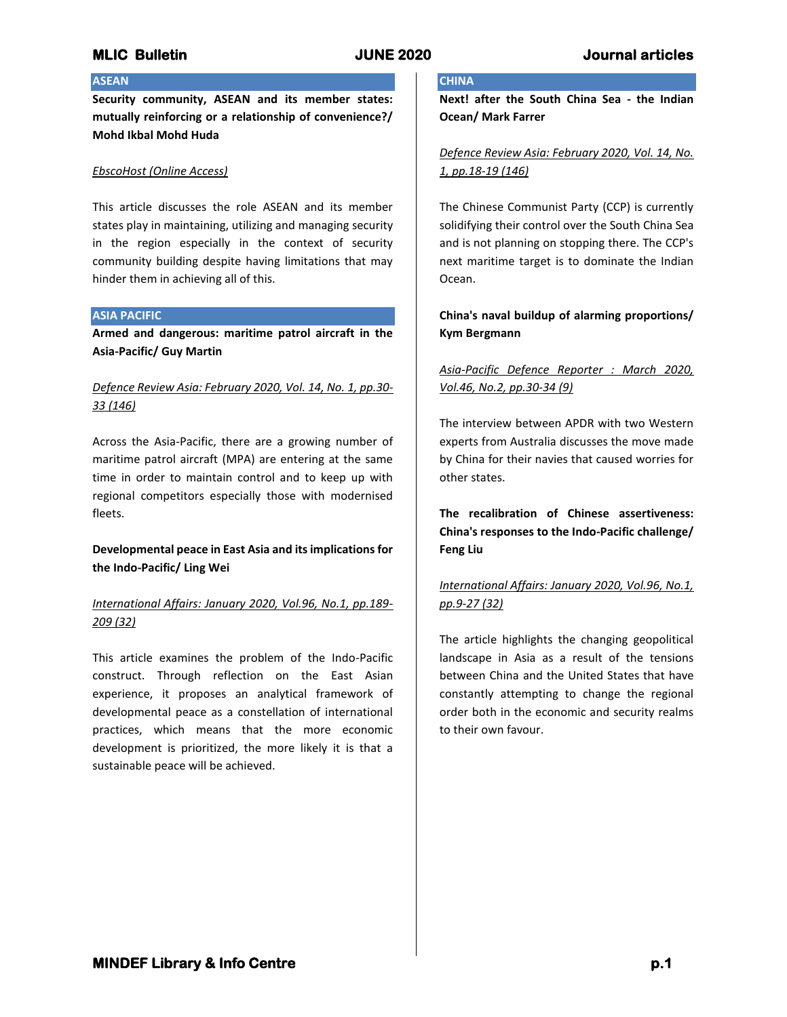# **ASEAN**

**Security community, ASEAN and its member states: mutually reinforcing or a relationship of convenience?/ Mohd Ikbal Mohd Huda**

### *EbscoHost (Online Access)*

This article discusses the role ASEAN and its member states play in maintaining, utilizing and managing security in the region especially in the context of security community building despite having limitations that may hinder them in achieving all of this.

### **ASIA PACIFIC**

**Armed and dangerous: maritime patrol aircraft in the Asia-Pacific/ Guy Martin**

# *Defence Review Asia: February 2020, Vol. 14, No. 1, pp.30- 33 (146)*

Across the Asia-Pacific, there are a growing number of maritime patrol aircraft (MPA) are entering at the same time in order to maintain control and to keep up with regional competitors especially those with modernised fleets.

**Developmental peace in East Asia and its implications for the Indo-Pacific/ Ling Wei**

# *International Affairs: January 2020, Vol.96, No.1, pp.189- 209 (32)*

This article examines the problem of the Indo-Pacific construct. Through reflection on the East Asian experience, it proposes an analytical framework of developmental peace as a constellation of international practices, which means that the more economic development is prioritized, the more likely it is that a sustainable peace will be achieved.

# **CHINA**

**Next! after the South China Sea - the Indian Ocean/ Mark Farrer**

## *Defence Review Asia: February 2020, Vol. 14, No. 1, pp.18-19 (146)*

The Chinese Communist Party (CCP) is currently solidifying their control over the South China Sea and is not planning on stopping there. The CCP's next maritime target is to dominate the Indian Ocean.

## **China's naval buildup of alarming proportions/ Kym Bergmann**

# *Asia-Pacific Defence Reporter : March 2020, Vol.46, No.2, pp.30-34 (9)*

The interview between APDR with two Western experts from Australia discusses the move made by China for their navies that caused worries for other states.

**The recalibration of Chinese assertiveness: China's responses to the Indo-Pacific challenge/ Feng Liu**

# *International Affairs: January 2020, Vol.96, No.1, pp.9-27 (32)*

The article highlights the changing geopolitical landscape in Asia as a result of the tensions between China and the United States that have constantly attempting to change the regional order both in the economic and security realms to their own favour.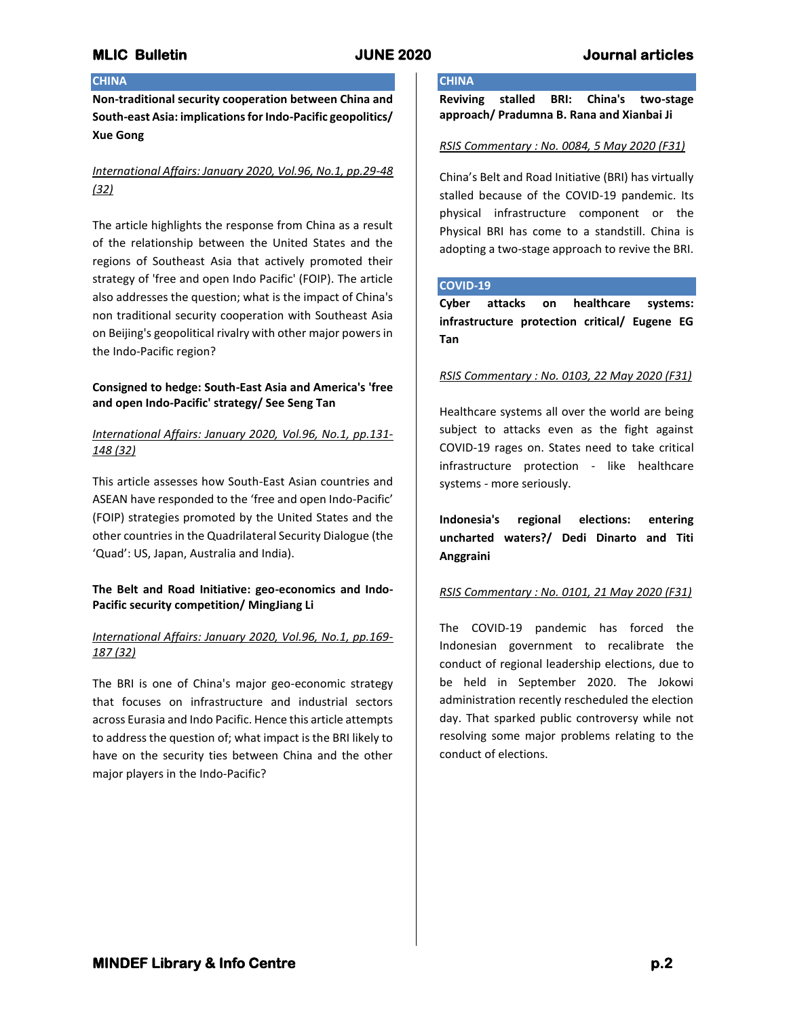### **CHINA**

**Non-traditional security cooperation between China and South-east Asia: implications for Indo-Pacific geopolitics/ Xue Gong**

# *International Affairs: January 2020, Vol.96, No.1, pp.29-48 (32)*

The article highlights the response from China as a result of the relationship between the United States and the regions of Southeast Asia that actively promoted their strategy of 'free and open Indo Pacific' (FOIP). The article also addresses the question; what is the impact of China's non traditional security cooperation with Southeast Asia on Beijing's geopolitical rivalry with other major powers in the Indo-Pacific region?

## **Consigned to hedge: South-East Asia and America's 'free and open Indo-Pacific' strategy/ See Seng Tan**

## *International Affairs: January 2020, Vol.96, No.1, pp.131- 148 (32)*

This article assesses how South-East Asian countries and ASEAN have responded to the 'free and open Indo-Pacific' (FOIP) strategies promoted by the United States and the other countries in the Quadrilateral Security Dialogue (the 'Quad': US, Japan, Australia and India).

## **The Belt and Road Initiative: geo-economics and Indo-Pacific security competition/ MingJiang Li**

## *International Affairs: January 2020, Vol.96, No.1, pp.169- 187 (32)*

The BRI is one of China's major geo-economic strategy that focuses on infrastructure and industrial sectors across Eurasia and Indo Pacific. Hence this article attempts to address the question of; what impact is the BRI likely to have on the security ties between China and the other major players in the Indo-Pacific?

# **CHINA**

**Reviving stalled BRI: China's two-stage approach/ Pradumna B. Rana and Xianbai Ji**

## *RSIS Commentary : No. 0084, 5 May 2020 (F31)*

China's Belt and Road Initiative (BRI) has virtually stalled because of the COVID-19 pandemic. Its physical infrastructure component or the Physical BRI has come to a standstill. China is adopting a two-stage approach to revive the BRI.

### **COVID-19**

**Cyber attacks on healthcare systems: infrastructure protection critical/ Eugene EG Tan**

## *RSIS Commentary : No. 0103, 22 May 2020 (F31)*

Healthcare systems all over the world are being subject to attacks even as the fight against COVID-19 rages on. States need to take critical infrastructure protection - like healthcare systems - more seriously.

**Indonesia's regional elections: entering uncharted waters?/ Dedi Dinarto and Titi Anggraini**

## *RSIS Commentary : No. 0101, 21 May 2020 (F31)*

The COVID-19 pandemic has forced the Indonesian government to recalibrate the conduct of regional leadership elections, due to be held in September 2020. The Jokowi administration recently rescheduled the election day. That sparked public controversy while not resolving some major problems relating to the conduct of elections.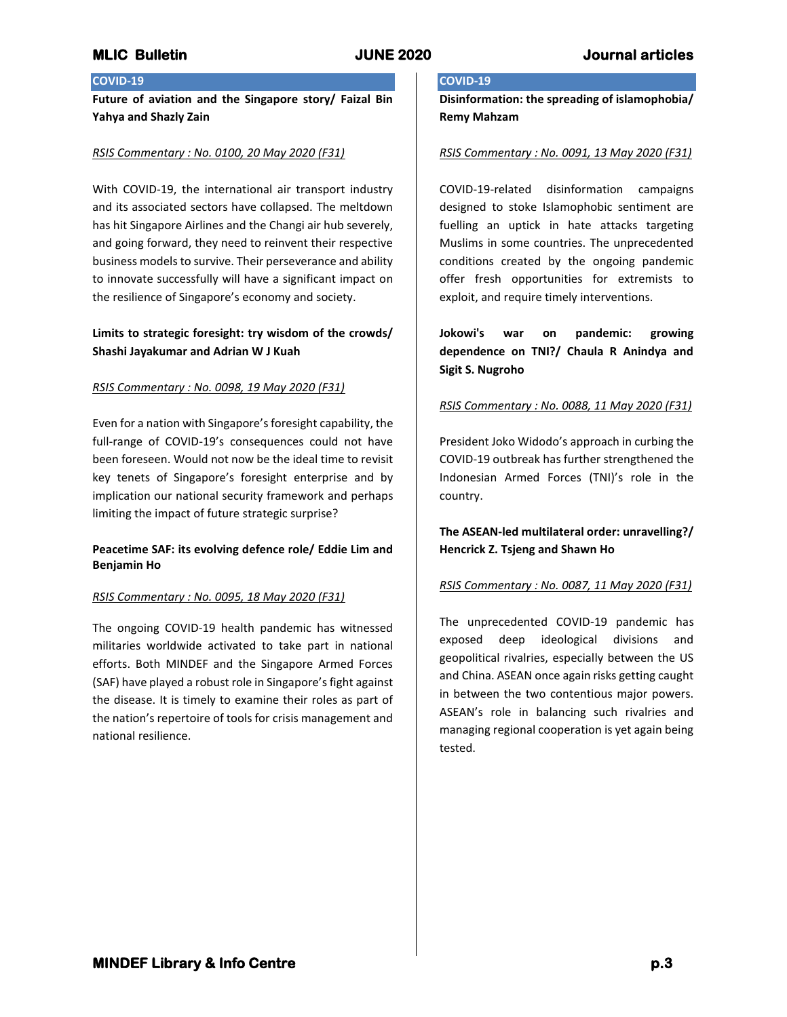## **COVID-19**

**Future of aviation and the Singapore story/ Faizal Bin Yahya and Shazly Zain**

## *RSIS Commentary : No. 0100, 20 May 2020 (F31)*

With COVID-19, the international air transport industry and its associated sectors have collapsed. The meltdown has hit Singapore Airlines and the Changi air hub severely, and going forward, they need to reinvent their respective business models to survive. Their perseverance and ability to innovate successfully will have a significant impact on the resilience of Singapore's economy and society.

# **Limits to strategic foresight: try wisdom of the crowds/ Shashi Jayakumar and Adrian W J Kuah**

## *RSIS Commentary : No. 0098, 19 May 2020 (F31)*

Even for a nation with Singapore's foresight capability, the full-range of COVID-19's consequences could not have been foreseen. Would not now be the ideal time to revisit key tenets of Singapore's foresight enterprise and by implication our national security framework and perhaps limiting the impact of future strategic surprise?

## **Peacetime SAF: its evolving defence role/ Eddie Lim and Benjamin Ho**

## *RSIS Commentary : No. 0095, 18 May 2020 (F31)*

The ongoing COVID-19 health pandemic has witnessed militaries worldwide activated to take part in national efforts. Both MINDEF and the Singapore Armed Forces (SAF) have played a robust role in Singapore's fight against the disease. It is timely to examine their roles as part of the nation's repertoire of tools for crisis management and national resilience.

# **COVID-19**

**Disinformation: the spreading of islamophobia/ Remy Mahzam**

### *RSIS Commentary : No. 0091, 13 May 2020 (F31)*

COVID-19-related disinformation campaigns designed to stoke Islamophobic sentiment are fuelling an uptick in hate attacks targeting Muslims in some countries. The unprecedented conditions created by the ongoing pandemic offer fresh opportunities for extremists to exploit, and require timely interventions.

**Jokowi's war on pandemic: growing dependence on TNI?/ Chaula R Anindya and Sigit S. Nugroho**

## *RSIS Commentary : No. 0088, 11 May 2020 (F31)*

President Joko Widodo's approach in curbing the COVID-19 outbreak has further strengthened the Indonesian Armed Forces (TNI)'s role in the country.

**The ASEAN-led multilateral order: unravelling?/ Hencrick Z. Tsjeng and Shawn Ho**

## *RSIS Commentary : No. 0087, 11 May 2020 (F31)*

The unprecedented COVID-19 pandemic has exposed deep ideological divisions and geopolitical rivalries, especially between the US and China. ASEAN once again risks getting caught in between the two contentious major powers. ASEAN's role in balancing such rivalries and managing regional cooperation is yet again being tested.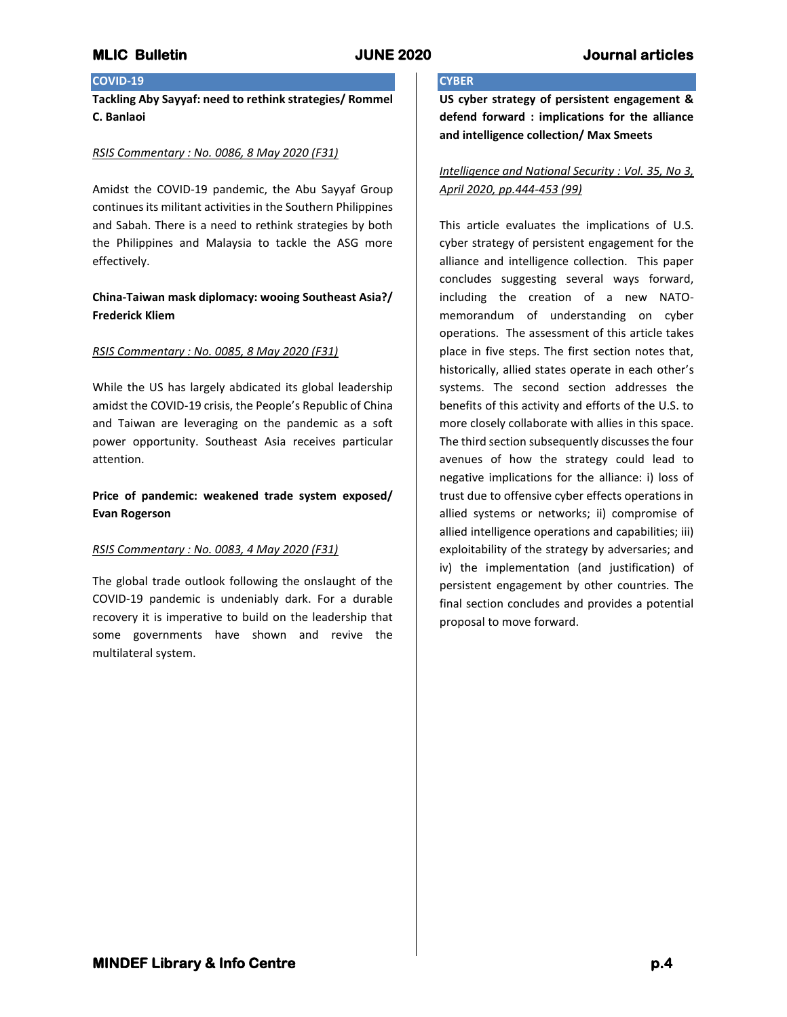# **COVID-19**

**Tackling Aby Sayyaf: need to rethink strategies/ Rommel C. Banlaoi**

### *RSIS Commentary : No. 0086, 8 May 2020 (F31)*

Amidst the COVID-19 pandemic, the Abu Sayyaf Group continues its militant activities in the Southern Philippines and Sabah. There is a need to rethink strategies by both the Philippines and Malaysia to tackle the ASG more effectively.

## **China-Taiwan mask diplomacy: wooing Southeast Asia?/ Frederick Kliem**

## *RSIS Commentary : No. 0085, 8 May 2020 (F31)*

While the US has largely abdicated its global leadership amidst the COVID-19 crisis, the People's Republic of China and Taiwan are leveraging on the pandemic as a soft power opportunity. Southeast Asia receives particular attention.

## **Price of pandemic: weakened trade system exposed/ Evan Rogerson**

### *RSIS Commentary : No. 0083, 4 May 2020 (F31)*

The global trade outlook following the onslaught of the COVID-19 pandemic is undeniably dark. For a durable recovery it is imperative to build on the leadership that some governments have shown and revive the multilateral system.

## **CYBER**

**US cyber strategy of persistent engagement & defend forward : implications for the alliance and intelligence collection/ Max Smeets**

## *Intelligence and National Security : Vol. 35, No 3, April 2020, pp.444-453 (99)*

This article evaluates the implications of U.S. cyber strategy of persistent engagement for the alliance and intelligence collection. This paper concludes suggesting several ways forward, including the creation of a new NATOmemorandum of understanding on cyber operations. The assessment of this article takes place in five steps. The first section notes that, historically, allied states operate in each other's systems. The second section addresses the benefits of this activity and efforts of the U.S. to more closely collaborate with allies in this space. The third section subsequently discusses the four avenues of how the strategy could lead to negative implications for the alliance: i) loss of trust due to offensive cyber effects operations in allied systems or networks; ii) compromise of allied intelligence operations and capabilities; iii) exploitability of the strategy by adversaries; and iv) the implementation (and justification) of persistent engagement by other countries. The final section concludes and provides a potential proposal to move forward.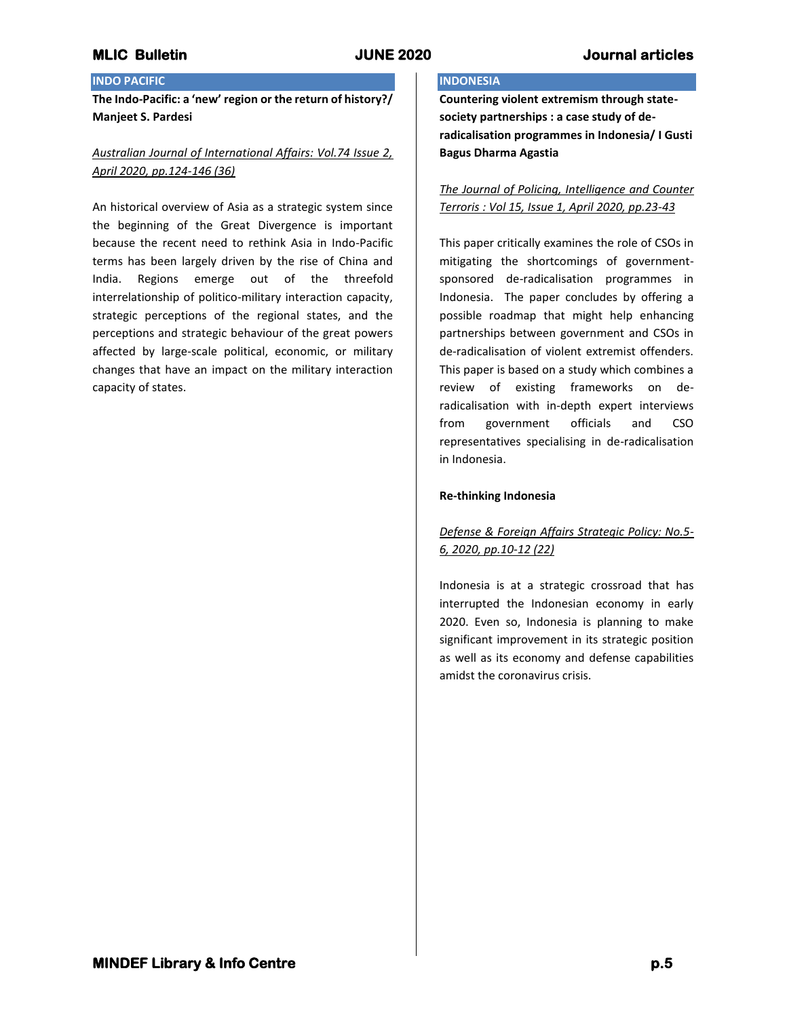# **INDO PACIFIC**

**The Indo-Pacific: a 'new' region or the return of history?/ Manjeet S. Pardesi**

# *Australian Journal of International Affairs: Vol.74 Issue 2, April 2020, pp.124-146 (36)*

An historical overview of Asia as a strategic system since the beginning of the Great Divergence is important because the recent need to rethink Asia in Indo-Pacific terms has been largely driven by the rise of China and India. Regions emerge out of the threefold interrelationship of politico-military interaction capacity, strategic perceptions of the regional states, and the perceptions and strategic behaviour of the great powers affected by large-scale political, economic, or military changes that have an impact on the military interaction capacity of states.

# **INDONESIA**

**Countering violent extremism through statesociety partnerships : a case study of deradicalisation programmes in Indonesia/ I Gusti Bagus Dharma Agastia**

*The Journal of Policing, Intelligence and Counter Terroris : Vol 15, Issue 1, April 2020, pp.23-43*

This paper critically examines the role of CSOs in mitigating the shortcomings of governmentsponsored de-radicalisation programmes in Indonesia. The paper concludes by offering a possible roadmap that might help enhancing partnerships between government and CSOs in de-radicalisation of violent extremist offenders. This paper is based on a study which combines a review of existing frameworks on deradicalisation with in-depth expert interviews from government officials and CSO representatives specialising in de-radicalisation in Indonesia.

## **Re-thinking Indonesia**

# *Defense & Foreign Affairs Strategic Policy: No.5- 6, 2020, pp.10-12 (22)*

Indonesia is at a strategic crossroad that has interrupted the Indonesian economy in early 2020. Even so, Indonesia is planning to make significant improvement in its strategic position as well as its economy and defense capabilities amidst the coronavirus crisis.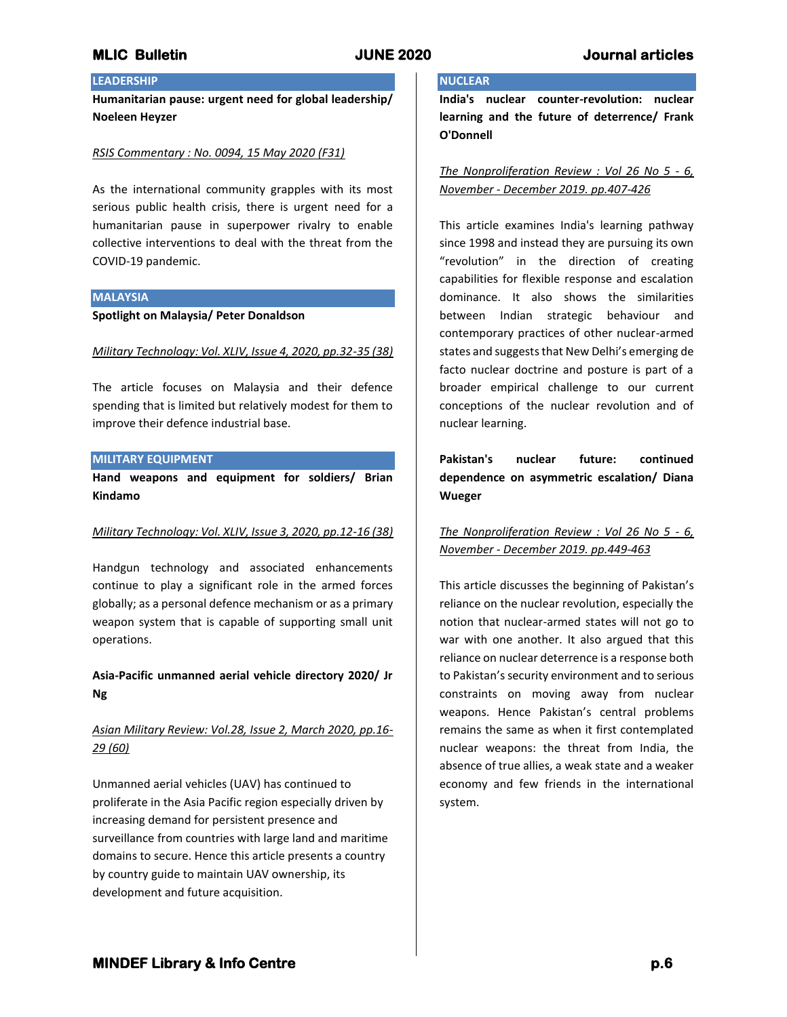# **LEADERSHIP**

**Humanitarian pause: urgent need for global leadership/ Noeleen Heyzer**

## *RSIS Commentary : No. 0094, 15 May 2020 (F31)*

As the international community grapples with its most serious public health crisis, there is urgent need for a humanitarian pause in superpower rivalry to enable collective interventions to deal with the threat from the COVID-19 pandemic.

### **MALAYSIA**

### **Spotlight on Malaysia/ Peter Donaldson**

### *Military Technology: Vol. XLIV, Issue 4, 2020, pp.32-35 (38)*

The article focuses on Malaysia and their defence spending that is limited but relatively modest for them to improve their defence industrial base.

### **MILITARY EQUIPMENT**

**Hand weapons and equipment for soldiers/ Brian Kindamo**

### *Military Technology: Vol. XLIV, Issue 3, 2020, pp.12-16 (38)*

Handgun technology and associated enhancements continue to play a significant role in the armed forces globally; as a personal defence mechanism or as a primary weapon system that is capable of supporting small unit operations.

## **Asia-Pacific unmanned aerial vehicle directory 2020/ Jr Ng**

# *Asian Military Review: Vol.28, Issue 2, March 2020, pp.16- 29 (60)*

Unmanned aerial vehicles (UAV) has continued to proliferate in the Asia Pacific region especially driven by increasing demand for persistent presence and surveillance from countries with large land and maritime domains to secure. Hence this article presents a country by country guide to maintain UAV ownership, its development and future acquisition.

# **NUCLEAR**

**India's nuclear counter-revolution: nuclear learning and the future of deterrence/ Frank O'Donnell**

*The Nonproliferation Review : Vol 26 No 5 - 6, November - December 2019. pp.407-426*

This article examines India's learning pathway since 1998 and instead they are pursuing its own "revolution" in the direction of creating capabilities for flexible response and escalation dominance. It also shows the similarities between Indian strategic behaviour and contemporary practices of other nuclear-armed states and suggests that New Delhi's emerging de facto nuclear doctrine and posture is part of a broader empirical challenge to our current conceptions of the nuclear revolution and of nuclear learning.

**Pakistan's nuclear future: continued dependence on asymmetric escalation/ Diana Wueger**

# *The Nonproliferation Review : Vol 26 No 5 - 6, November - December 2019. pp.449-463*

This article discusses the beginning of Pakistan's reliance on the nuclear revolution, especially the notion that nuclear-armed states will not go to war with one another. It also argued that this reliance on nuclear deterrence is a response both to Pakistan's security environment and to serious constraints on moving away from nuclear weapons. Hence Pakistan's central problems remains the same as when it first contemplated nuclear weapons: the threat from India, the absence of true allies, a weak state and a weaker economy and few friends in the international system.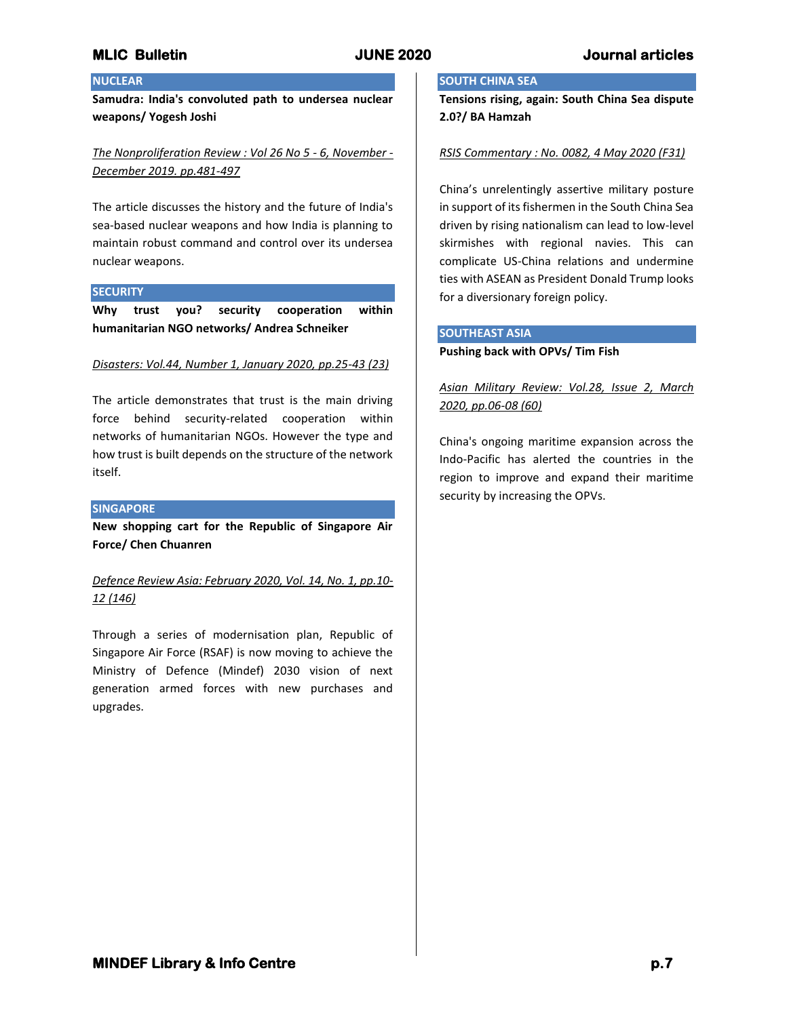## **NUCLEAR**

**Samudra: India's convoluted path to undersea nuclear weapons/ Yogesh Joshi**

*The Nonproliferation Review : Vol 26 No 5 - 6, November - December 2019. pp.481-497*

The article discusses the history and the future of India's sea-based nuclear weapons and how India is planning to maintain robust command and control over its undersea nuclear weapons.

### **SECURITY**

**Why trust you? security cooperation within humanitarian NGO networks/ Andrea Schneiker**

### *Disasters: Vol.44, Number 1, January 2020, pp.25-43 (23)*

The article demonstrates that trust is the main driving force behind security-related cooperation within networks of humanitarian NGOs. However the type and how trust is built depends on the structure of the network itself.

### **SINGAPORE**

**New shopping cart for the Republic of Singapore Air Force/ Chen Chuanren**

*Defence Review Asia: February 2020, Vol. 14, No. 1, pp.10- 12 (146)*

Through a series of modernisation plan, Republic of Singapore Air Force (RSAF) is now moving to achieve the Ministry of Defence (Mindef) 2030 vision of next generation armed forces with new purchases and upgrades.

## **SOUTH CHINA SEA**

**Tensions rising, again: South China Sea dispute 2.0?/ BA Hamzah**

### *RSIS Commentary : No. 0082, 4 May 2020 (F31)*

China's unrelentingly assertive military posture in support of its fishermen in the South China Sea driven by rising nationalism can lead to low-level skirmishes with regional navies. This can complicate US-China relations and undermine ties with ASEAN as President Donald Trump looks for a diversionary foreign policy.

## **SOUTHEAST ASIA**

### **Pushing back with OPVs/ Tim Fish**

*Asian Military Review: Vol.28, Issue 2, March 2020, pp.06-08 (60)*

China's ongoing maritime expansion across the Indo-Pacific has alerted the countries in the region to improve and expand their maritime security by increasing the OPVs.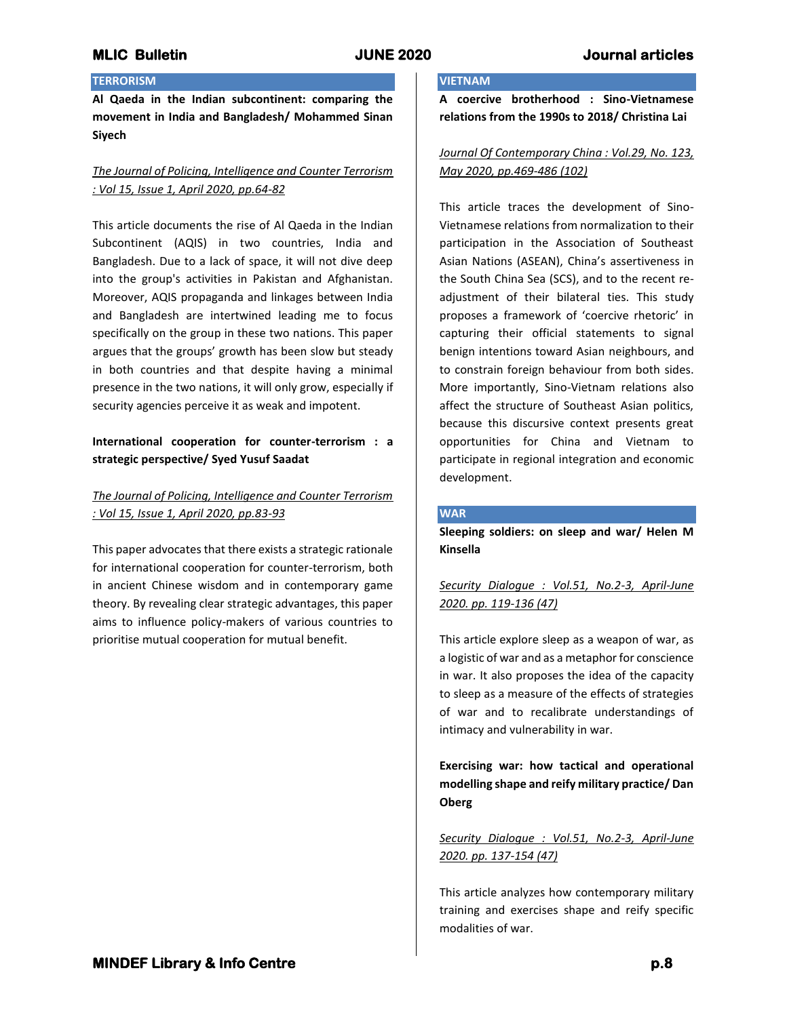## **TERRORISM**

**Al Qaeda in the Indian subcontinent: comparing the movement in India and Bangladesh/ Mohammed Sinan Siyech**

# *The Journal of Policing, Intelligence and Counter Terrorism : Vol 15, Issue 1, April 2020, pp.64-82*

This article documents the rise of Al Qaeda in the Indian Subcontinent (AQIS) in two countries, India and Bangladesh. Due to a lack of space, it will not dive deep into the group's activities in Pakistan and Afghanistan. Moreover, AQIS propaganda and linkages between India and Bangladesh are intertwined leading me to focus specifically on the group in these two nations. This paper argues that the groups' growth has been slow but steady in both countries and that despite having a minimal presence in the two nations, it will only grow, especially if security agencies perceive it as weak and impotent.

# **International cooperation for counter-terrorism : a strategic perspective/ Syed Yusuf Saadat**

# *The Journal of Policing, Intelligence and Counter Terrorism : Vol 15, Issue 1, April 2020, pp.83-93*

This paper advocates that there exists a strategic rationale for international cooperation for counter-terrorism, both in ancient Chinese wisdom and in contemporary game theory. By revealing clear strategic advantages, this paper aims to influence policy-makers of various countries to prioritise mutual cooperation for mutual benefit.

# **VIETNAM**

**A coercive brotherhood : Sino-Vietnamese relations from the 1990s to 2018/ Christina Lai**

## *Journal Of Contemporary China : Vol.29, No. 123, May 2020, pp.469-486 (102)*

This article traces the development of Sino-Vietnamese relations from normalization to their participation in the Association of Southeast Asian Nations (ASEAN), China's assertiveness in the South China Sea (SCS), and to the recent readjustment of their bilateral ties. This study proposes a framework of 'coercive rhetoric' in capturing their official statements to signal benign intentions toward Asian neighbours, and to constrain foreign behaviour from both sides. More importantly, Sino-Vietnam relations also affect the structure of Southeast Asian politics, because this discursive context presents great opportunities for China and Vietnam to participate in regional integration and economic development.

## **WAR**

**Sleeping soldiers: on sleep and war/ Helen M Kinsella**

*Security Dialogue : Vol.51, No.2-3, April-June 2020. pp. 119-136 (47)*

This article explore sleep as a weapon of war, as a logistic of war and as a metaphor for conscience in war. It also proposes the idea of the capacity to sleep as a measure of the effects of strategies of war and to recalibrate understandings of intimacy and vulnerability in war.

**Exercising war: how tactical and operational modelling shape and reify military practice/ Dan Oberg**

# *Security Dialogue : Vol.51, No.2-3, April-June 2020. pp. 137-154 (47)*

This article analyzes how contemporary military training and exercises shape and reify specific modalities of war.